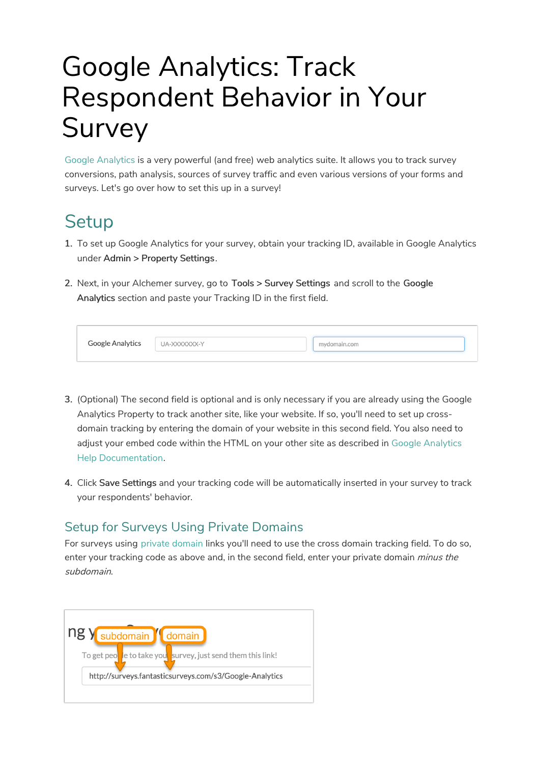# Google Analytics: Track Respondent Behavior in Your Survey

Google Analytics is a very powerful (and free) web analytics suite. It allows you to track survey conversions, path analysis, sources of survey traffic and even various versions of your forms and surveys. Let's go over how to set this up in a survey!

## **Setup**

- 1. To set up Google Analytics for your survey, obtain your tracking ID, available in Google Analytics under Admin > Property Settings.
- 2. Next, in your Alchemer survey, go to Tools > Survey Settings and scroll to the Google Analytics section and paste your Tracking ID in the first field.

| Google Analytics | UA-XXXXXXXX-Y | mydomain.com |  |
|------------------|---------------|--------------|--|
|                  |               |              |  |

- 3. (Optional) The second field is optional and is only necessary if you are already using the Google Analytics Property to track another site, like your website. If so, you'll need to set up crossdomain tracking by entering the domain of your website in this second field. You also need to adjust your embed code within the HTML on your other site as described in Google Analytics Help Documentation.
- 4. Click Save Settings and your tracking code will be automatically inserted in your survey to track your respondents' behavior.

#### Setup for Surveys Using Private Domains

For surveys using private domain links you'll need to use the cross domain tracking field. To do so, enter your tracking code as above and, in the second field, enter your private domain *minus the* subdomain.

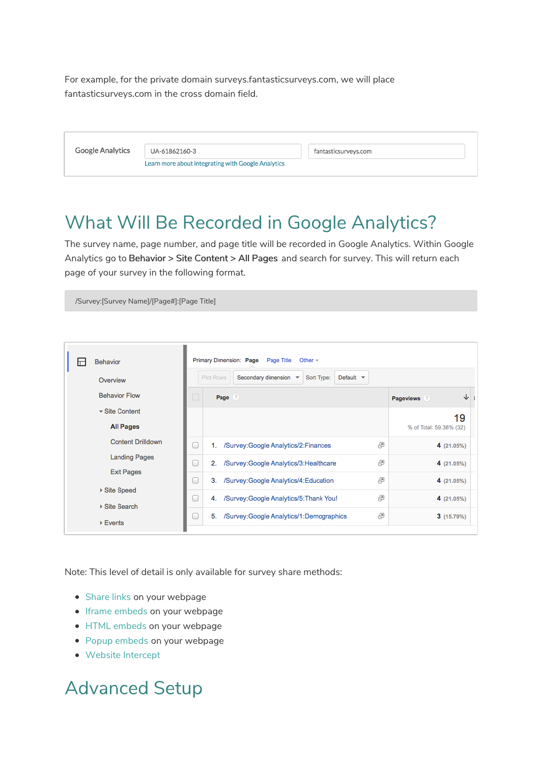For example, for the private domain surveys.fantasticsurveys.com, we will place fantasticsurveys.com in the cross domain field.

| <b>Google Analytics</b> | UA-61862160-3                                      | fantasticsurveys.com |
|-------------------------|----------------------------------------------------|----------------------|
|                         | Learn more about integrating with Google Analytics |                      |

### What Will Be Recorded in Google Analytics?

The survey name, page number, and page title will be recorded in Google Analytics. Within Google Analytics go to Behavior > Site Content > All Pages and search for survey. This will return each page of your survey in the following format.

/Survey:[Survey Name]/[Page#]:[Page Title]

| <b>Behavior</b><br>╓<br>Overview      | Primary Dimension: Page Page Title<br>Other $-$<br>Plot Rows<br>Secondary dimension $\sqrt{*}$<br>Sort Type:<br>Default $\blacktriangledown$ |                                                 |   |                         |  |  |  |  |
|---------------------------------------|----------------------------------------------------------------------------------------------------------------------------------------------|-------------------------------------------------|---|-------------------------|--|--|--|--|
| <b>Behavior Flow</b>                  |                                                                                                                                              | Page (?)                                        |   | ↓<br>Pageviews ?        |  |  |  |  |
| $\overline{\phantom{a}}$ Site Content |                                                                                                                                              |                                                 |   | 19                      |  |  |  |  |
| <b>All Pages</b>                      |                                                                                                                                              |                                                 |   | % of Total: 59.38% (32) |  |  |  |  |
| <b>Content Drilldown</b>              | C                                                                                                                                            | /Survey: Google Analytics/2: Finances<br>1.     | 邑 | 4 (21.05%)              |  |  |  |  |
| <b>Landing Pages</b>                  | C                                                                                                                                            | 2.<br>/Survey: Google Analytics/3: Healthcare   | 囤 | 4(21.05%)               |  |  |  |  |
| <b>Exit Pages</b>                     | C                                                                                                                                            | З.<br>/Survey: Google Analytics/4: Education    | 邑 | 4(21.05%)               |  |  |  |  |
| ▶ Site Speed<br>▶ Site Search         | C                                                                                                                                            | /Survey: Google Analytics/5: Thank You!<br>4.   | 邑 | 4(21.05%)               |  |  |  |  |
| $\triangleright$ Events               | С                                                                                                                                            | 5.<br>/Survey: Google Analytics/1: Demographics | 囤 | 3(15.79%)               |  |  |  |  |

Note: This level of detail is only available for survey share methods:

- Share links on your webpage
- Iframe embeds on your webpage
- HTML embeds on your webpage
- Popup embeds on your webpage
- Website Intercept

## Advanced Setup